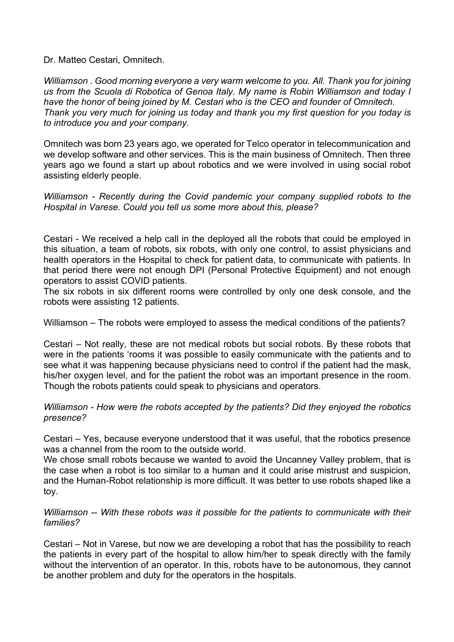Dr. Matteo Cestari, Omnitech.

*Williamson . Good morning everyone a very warm welcome to you. All. Thank you for joining us from the Scuola di Robotica of Genoa Italy. My name is Robin Williamson and today I have the honor of being joined by M. Cestari who is the CEO and founder of Omnitech. Thank you very much for joining us today and thank you my first question for you today is to introduce you and your company.*

Omnitech was born 23 years ago, we operated for Telco operator in telecommunication and we develop software and other services. This is the main business of Omnitech. Then three years ago we found a start up about robotics and we were involved in using social robot assisting elderly people.

*Williamson - Recently during the Covid pandemic your company supplied robots to the Hospital in Varese. Could you tell us some more about this, please?* 

Cestari - We received a help call in the deployed all the robots that could be employed in this situation, a team of robots, six robots, with only one control, to assist physicians and health operators in the Hospital to check for patient data, to communicate with patients. In that period there were not enough DPI (Personal Protective Equipment) and not enough operators to assist COVID patients.

The six robots in six different rooms were controlled by only one desk console, and the robots were assisting 12 patients.

Williamson – The robots were emploved to assess the medical conditions of the patients?

Cestari – Not really, these are not medical robots but social robots. By these robots that were in the patients 'rooms it was possible to easily communicate with the patients and to see what it was happening because physicians need to control if the patient had the mask, his/her oxygen level, and for the patient the robot was an important presence in the room. Though the robots patients could speak to physicians and operators.

*Williamson - How were the robots accepted by the patients? Did they enjoyed the robotics presence?*

Cestari – Yes, because everyone understood that it was useful, that the robotics presence was a channel from the room to the outside world.

We chose small robots because we wanted to avoid the Uncanney Valley problem, that is the case when a robot is too similar to a human and it could arise mistrust and suspicion, and the Human-Robot relationship is more difficult. It was better to use robots shaped like a toy.

*Williamson -- With these robots was it possible for the patients to communicate with their families?*

Cestari – Not in Varese, but now we are developing a robot that has the possibility to reach the patients in every part of the hospital to allow him/her to speak directly with the family without the intervention of an operator. In this, robots have to be autonomous, they cannot be another problem and duty for the operators in the hospitals.